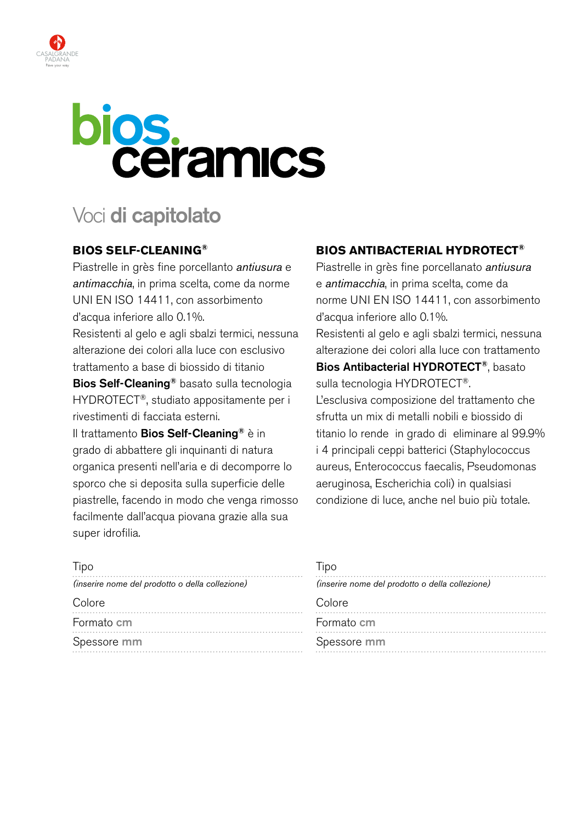

# **bios.**<br>Ceramics

## Voci **di capitolato**

### **Bios Self-Cleaning®**

Piastrelle in grès fine porcellanto *antiusura* e *antimacchia*, in prima scelta, come da norme uni en iso 14411, con assorbimento d'acqua inferiore allo 0.1%.

Resistenti al gelo e agli sbalzi termici, nessuna alterazione dei colori alla luce con esclusivo trattamento a base di biossido di titanio

Bios Self-Cleaning® basato sulla tecnologia HYDROTECT®, studiato appositamente per i rivestimenti di facciata esterni.

Il trattamento Bios Self-Cleaning<sup>®</sup> è in grado di abbattere gli inquinanti di natura organica presenti nell'aria e di decomporre lo sporco che si deposita sulla superficie delle piastrelle, facendo in modo che venga rimosso facilmente dall'acqua piovana grazie alla sua super idrofilia.

### **BIOS ANTIBACTERIAL HYDROTECT®**

Piastrelle in grès fine porcellanato *antiusura* e *antimacchia*, in prima scelta, come da norme UNI EN ISO 14411, con assorbimento d'acqua inferiore allo 0.1%.

Resistenti al gelo e agli sbalzi termici, nessuna alterazione dei colori alla luce con trattamento Bios Antibacterial HYDROTECT®, basato sulla tecnologia HYDROTECT®.

L'esclusiva composizione del trattamento che sfrutta un mix di metalli nobili e biossido di titanio lo rende in grado di eliminare al 99.9% i 4 principali ceppi batterici (Staphylococcus aureus, Enterococcus faecalis, Pseudomonas aeruginosa, Escherichia coli) in qualsiasi condizione di luce, anche nel buio più totale.

| Tipo                                            |  |
|-------------------------------------------------|--|
| (inserire nome del prodotto o della collezione) |  |
| Colore                                          |  |
| Formato cm                                      |  |
| Spessore mm                                     |  |

#### Tipo

| (inserire nome del prodotto o della collezione) |
|-------------------------------------------------|
| Colore                                          |
| Formato cm                                      |
| Spessore mm                                     |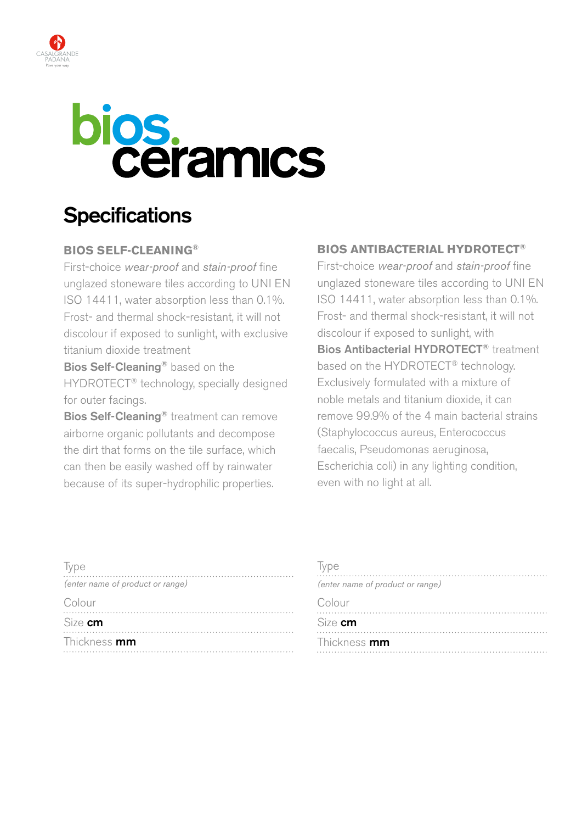



## **Specifications**

### **Bios Self-Cleaning®**

First-choice *wear-proof* and *stain-proof* fine unglazed stoneware tiles according to UNI EN ISO 14411, water absorption less than 0.1%. Frost- and thermal shock-resistant, it will not discolour if exposed to sunlight, with exclusive titanium dioxide treatment

Bios Self-Cleaning<sup>®</sup> based on the HYDROTECT® technology, specially designed for outer facings.

Bios Self-Cleaning<sup>®</sup> treatment can remove airborne organic pollutants and decompose the dirt that forms on the tile surface, which can then be easily washed off by rainwater because of its super-hydrophilic properties.

### **BiOs anTiBaCTerial hYDrOTeCT®**

First-choice *wear-proof* and *stain-proof* fine unglazed stoneware tiles according to UNI EN iSO 14411, water absorption less than 0.1%. Frost- and thermal shock-resistant, it will not discolour if exposed to sunlight, with Bios Antibacterial HYDRoTECT® treatment based on the HYDROTECT<sup>®</sup> technology. Exclusively formulated with a mixture of noble metals and titanium dioxide, it can remove 99.9% of the 4 main bacterial strains (Staphylococcus aureus, Enterococcus faecalis, Pseudomonas aeruginosa, Escherichia coli) in any lighting condition, even with no light at all.

| Type                             |
|----------------------------------|
| (enter name of product or range) |
| Colour                           |
| Size cm                          |
| Thickness mm                     |

| Type<br>(enter name of product or range) |
|------------------------------------------|
| Colour                                   |
| Size cm                                  |
| Thickness mm                             |
|                                          |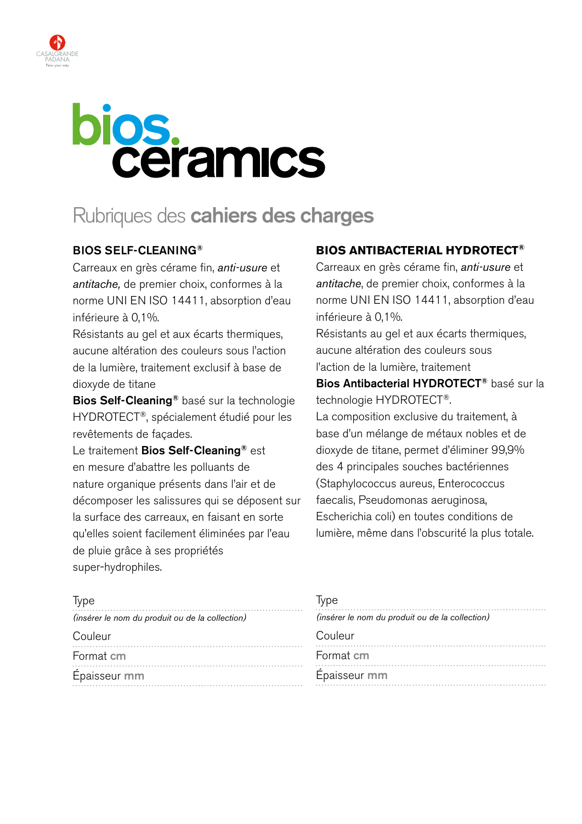

# bios.<br>Ceramics

## Rubriques des **cahiers des charges**

### BIOS SELF-CLEANING®

Carreaux en grès cérame fin, *anti-usure* et *antitache,* de premier choix, conformes à la norme UNI EN ISO 14411, absorption d'eau inférieure à 0,1%.

Résistants au gel et aux écarts thermiques, aucune altération des couleurs sous l'action de la lumière, traitement exclusif à base de dioxyde de titane

Bios Self-Cleaning® basé sur la technologie HYDROTECT®, spécialement étudié pour les revêtements de façades.

Le traitement Bios Self-Cleaning<sup>®</sup> est en mesure d'abattre les polluants de nature organique présents dans l'air et de décomposer les salissures qui se déposent sur la surface des carreaux, en faisant en sorte qu'elles soient facilement éliminées par l'eau de pluie grâce à ses propriétés super-hydrophiles.

### **BIOS ANTIBACTERIAL HYDROTECT®**

Carreaux en grès cérame fin, *anti-usure* et *antitache*, de premier choix, conformes à la norme UNI EN ISO 14411, absorption d'eau inférieure à 0,1%.

Résistants au gel et aux écarts thermiques, aucune altération des couleurs sous l'action de la lumière, traitement

Bios Antibacterial HYDROTECT® basé sur la technologie HYDROTECT®.

La composition exclusive du traitement, à base d'un mélange de métaux nobles et de dioxyde de titane, permet d'éliminer 99,9% des 4 principales souches bactériennes (Staphylococcus aureus, Enterococcus faecalis, Pseudomonas aeruginosa, Escherichia coli) en toutes conditions de lumière, même dans l'obscurité la plus totale.

| <i>lype</i>                                     | Type                                            |
|-------------------------------------------------|-------------------------------------------------|
| (insérer le nom du produit ou de la collection) | (insérer le nom du produit ou de la collection) |
| Couleur                                         | Couleur                                         |
| Format cm                                       | Format cm                                       |
| Épaisseur mm                                    | Épaisseur mm                                    |